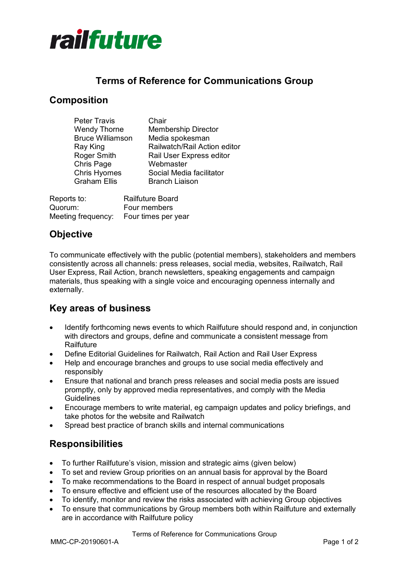

## **Terms of Reference for Communications Group**

## **Composition**

| <b>Peter Travis</b>     | Chair                        |
|-------------------------|------------------------------|
| <b>Wendy Thorne</b>     | <b>Membership Director</b>   |
| <b>Bruce Williamson</b> | Media spokesman              |
| Ray King                | Railwatch/Rail Action editor |
| Roger Smith             | Rail User Express editor     |
| Chris Page              | Webmaster                    |
| <b>Chris Hyomes</b>     | Social Media facilitator     |
| <b>Graham Ellis</b>     | <b>Branch Liaison</b>        |
|                         |                              |

| Reports to:        | <b>Railfuture Board</b> |
|--------------------|-------------------------|
| Quorum:            | Four members            |
| Meeting frequency: | Four times per year     |

# **Objective**

To communicate effectively with the public (potential members), stakeholders and members consistently across all channels: press releases, social media, websites, Railwatch, Rail User Express, Rail Action, branch newsletters, speaking engagements and campaign materials, thus speaking with a single voice and encouraging openness internally and externally.

## **Key areas of business**

- Identify forthcoming news events to which Railfuture should respond and, in conjunction with directors and groups, define and communicate a consistent message from **Railfuture**
- Define Editorial Guidelines for Railwatch, Rail Action and Rail User Express
- Help and encourage branches and groups to use social media effectively and responsibly
- Ensure that national and branch press releases and social media posts are issued promptly, only by approved media representatives, and comply with the Media **Guidelines**
- Encourage members to write material, eg campaign updates and policy briefings, and take photos for the website and Railwatch
- Spread best practice of branch skills and internal communications

# **Responsibilities**

- To further Railfuture's vision, mission and strategic aims (given below)
- To set and review Group priorities on an annual basis for approval by the Board
- To make recommendations to the Board in respect of annual budget proposals
- To ensure effective and efficient use of the resources allocated by the Board
- To identify, monitor and review the risks associated with achieving Group objectives
- To ensure that communications by Group members both within Railfuture and externally are in accordance with Railfuture policy

Terms of Reference for Communications Group